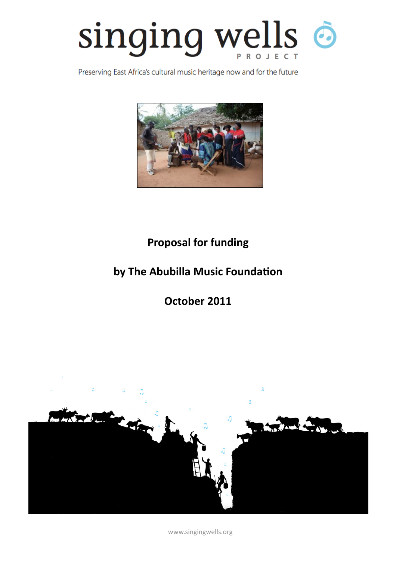

Preserving East Africa's cultural music heritage now and for the future



# **Proposal for funding**

# by The Abubilla Music Foundation

**October 2011** 



[www.singingwells.org](http://www.singingwells.org)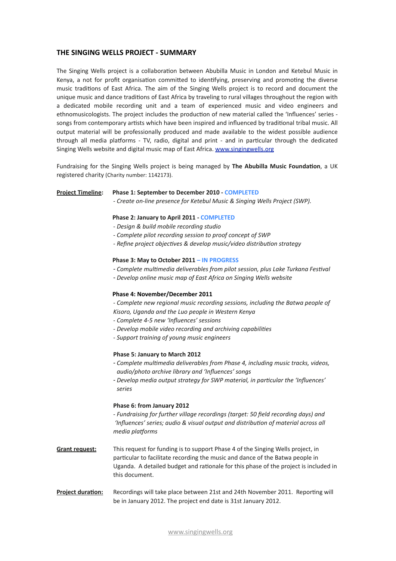## **THE SINGING WELLS PROJECT - SUMMARY**

The Singing Wells project is a collaboration between Abubilla Music in London and Ketebul Music in Kenya, a not for profit organisation committed to identifying, preserving and promoting the diverse music traditions of East Africa. The aim of the Singing Wells project is to record and document the unique music and dance traditions of East Africa by traveling to rural villages throughout the region with a dedicated mobile recording unit and a team of experienced music and video engineers and ethnomusicologists. The project includes the production of new material called the 'Influences' series songs from contemporary artists which have been inspired and influenced by traditional tribal music. All output material will be professionally produced and made available to the widest possible audience through all media platforms - TV, radio, digital and print - and in particular through the dedicated Singing Wells website and digital music map of East Africa. www.singingwells.org

Fundraising for the Singing Wells project is being managed by **The Abubilla Music Foundation**, a UK registered charity (Charity number: 1142173).

#### **Project Timeline:** Phase 1: September to December 2010 - COMPLETED

*!"Create"on!line"presence"for"Ketebul"Music"&"Singing"Wells"Project"(SWP).*

#### Phase 2: January to April 2011 - COMPLETED

- *!"Design"&"build"mobile"recording"studio*
- *.* Complete pilot recording session to proof concept of SWP
- *. Refine project objectives & develop music/video distribution strategy*

#### Phase 3: May to October 2011 - IN PROGRESS

- *Complete"mulBmedia"deliverables"from"pilot"session,"plus"Lake"Turkana"FesBval"*
- Develop online music map of East Africa on Singing Wells website

#### Phase 4: November/December 2011

*!"Complete"new"regional"music"recording"sessions,"including"the"Batwa"people"of" Kisoro,"Uganda"and"the"Luo"people"in"Western"Kenya*

- *!"Complete"4!5"new"'Influences'"sessions*
- $-$  Develop mobile video recording and archiving capabilities
- *!"Support"training"of"young"music"engineers*

#### **Phase 5: January to March 2012**

- Complete multimedia deliverables from Phase 4, including music tracks, videos, *audio/photo"archive"library"and"'Influences'"songs*
- Develop media output strategy for SWP material, in particular the 'Influences' *series*

#### Phase 6: from January 2012

*!"Fundraising"for"further"village"recordings"(target:"50"field"recording"days)"and"* 'Influences' series; audio & visual output and distribution of material across all *media"plaZorms*

- Grant request: This request for funding is to support Phase 4 of the Singing Wells project, in particular to facilitate recording the music and dance of the Batwa people in Uganda. A detailed budget and rationale for this phase of the project is included in this document.
- **Project duration:** Recordings will take place between 21st and 24th November 2011. Reporting will be in January 2012. The project end date is 31st January 2012.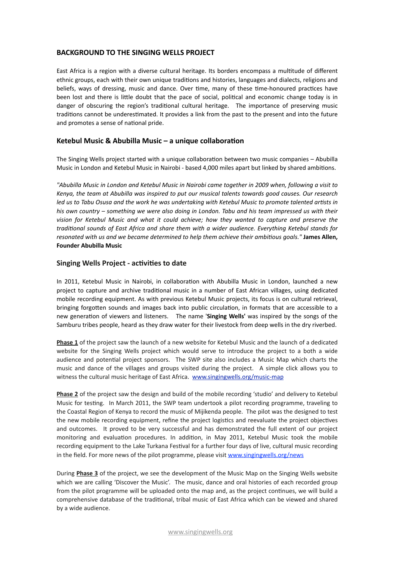## **BACKGROUND TO THE SINGING WELLS PROJECT**

East Africa is a region with a diverse cultural heritage. Its borders encompass a multitude of different ethnic groups, each with their own unique traditions and histories, languages and dialects, religions and beliefs, ways of dressing, music and dance. Over time, many of these time-honoured practices have been lost and there is little doubt that the pace of social, political and economic change today is in danger of obscuring the region's traditional cultural heritage. The importance of preserving music traditions cannot be underestimated. It provides a link from the past to the present and into the future and promotes a sense of national pride.

## Ketebul Music & Abubilla Music - a unique collaboration

The Singing Wells project started with a unique collaboration between two music companies – Abubilla Music in London and Ketebul Music in Nairobi - based 4,000 miles apart but linked by shared ambitions.

*"Abubilla"Music"in"London"and"Ketebul"Music"in"Nairobi"came"together"in"2009"when,"following"a"visit"to"* Kenya, the team at Abubilla was inspired to put our musical talents towards good causes. Our research led us to Tabu Osusa and the work he was undertaking with Ketebul Music to promote talented artists in his own country – something we were also doing in London. Tabu and his team impressed us with their vision for Ketebul Music and what it could achieve; how they wanted to capture and preserve the traditional sounds of East Africa and share them with a wider audience. Everything Ketebul stands for *resonated with us and we became determined to help them achieve their ambitious goals."* James Allen, **Founder Abubilla Music** 

#### **Singing Wells Project - activities to date**

In 2011, Ketebul Music in Nairobi, in collaboration with Abubilla Music in London, launched a new project to capture and archive traditional music in a number of East African villages, using dedicated mobile recording equipment. As with previous Ketebul Music projects, its focus is on cultural retrieval, bringing forgotten sounds and images back into public circulation, in formats that are accessible to a new generation of viewers and listeners. The name 'Singing Wells' was inspired by the songs of the Samburu tribes people, heard as they draw water for their livestock from deep wells in the dry riverbed.

**Phase 1** of the project saw the launch of a new website for Ketebul Music and the launch of a dedicated website for the Singing Wells project which would serve to introduce the project to a both a wide audience and potential project sponsors. The SWP site also includes a Music Map which charts the music and dance of the villages and groups visited during the project. A simple click allows you to witness the cultural music heritage of East Africa. www.singingwells.org/music-map

**Phase 2** of the project saw the design and build of the mobile recording 'studio' and delivery to Ketebul Music for testing. In March 2011, the SWP team undertook a pilot recording programme, traveling to the Coastal Region of Kenya to record the music of Mijikenda people. The pilot was the designed to test the new mobile recording equipment, refine the project logistics and reevaluate the project objectives and outcomes. It proved to be very successful and has demonstrated the full extent of our project monitoring and evaluation procedures. In addition, in May 2011, Ketebul Music took the mobile recording equipment to the Lake Turkana Festival for a further four days of live, cultural music recording in the field. For more news of the pilot programme, please visit [www.singingwells.org/news](http://www.singingwells.org/news)

During **Phase 3** of the project, we see the development of the Music Map on the Singing Wells website which we are calling 'Discover the Music'. The music, dance and oral histories of each recorded group from the pilot programme will be uploaded onto the map and, as the project continues, we will build a comprehensive database of the traditional, tribal music of East Africa which can be viewed and shared by a wide audience.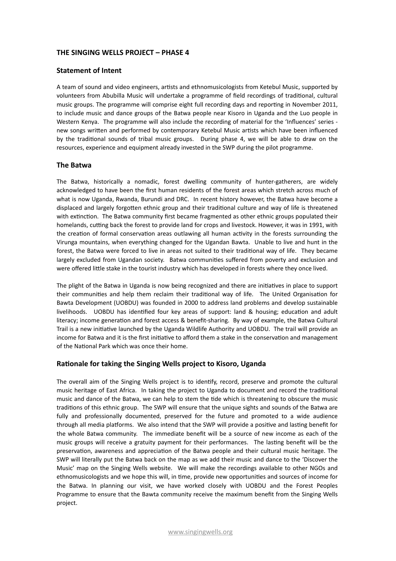## **THE SINGING WELLS PROJECT - PHASE 4**

#### **Statement of Intent**

A team of sound and video engineers, artists and ethnomusicologists from Ketebul Music, supported by volunteers from Abubilla Music will undertake a programme of field recordings of traditional, cultural music groups. The programme will comprise eight full recording days and reporting in November 2011, to include music and dance groups of the Batwa people near Kisoro in Uganda and the Luo people in Western Kenya. The programme will also include the recording of material for the 'Influences' series new songs written and performed by contemporary Ketebul Music artists which have been influenced by the traditional sounds of tribal music groups. During phase 4, we will be able to draw on the resources, experience and equipment already invested in the SWP during the pilot programme.

#### **The Batwa**

The Batwa, historically a nomadic, forest dwelling community of hunter-gatherers, are widely acknowledged to have been the first human residents of the forest areas which stretch across much of what is now Uganda, Rwanda, Burundi and DRC. In recent history however, the Batwa have become a displaced and largely forgotten ethnic group and their traditional culture and way of life is threatened with extinction. The Batwa community first became fragmented as other ethnic groups populated their homelands, cutting back the forest to provide land for crops and livestock. However, it was in 1991, with the creation of formal conservation areas outlawing all human activity in the forests surrounding the Virunga mountains, when everything changed for the Ugandan Bawta. Unable to live and hunt in the forest, the Batwa were forced to live in areas not suited to their traditional way of life. They became largely excluded from Ugandan society. Batwa communities suffered from poverty and exclusion and were offered little stake in the tourist industry which has developed in forests where they once lived.

The plight of the Batwa in Uganda is now being recognized and there are initiatives in place to support their communities and help them reclaim their traditional way of life. The United Organisation for Bawta Development (UOBDU) was founded in 2000 to address land problems and develop sustainable livelihoods.! ! UOBDU! has! iden6fied! four! key!areas! of! support:! land! &! housing;! educa6on! and! adult! literacy; income generation and forest access & benefit-sharing. By way of example, the Batwa Cultural Trail is a new initiative launched by the Uganda Wildlife Authority and UOBDU. The trail will provide an income for Batwa and it is the first initiative to afford them a stake in the conservation and management of the National Park which was once their home.

## **Rationale for taking the Singing Wells project to Kisoro, Uganda**

The overall aim of the Singing Wells project is to identify, record, preserve and promote the cultural music heritage of East Africa. In taking the project to Uganda to document and record the traditional music and dance of the Batwa, we can help to stem the tide which is threatening to obscure the music traditions of this ethnic group. The SWP will ensure that the unique sights and sounds of the Batwa are fully and professionally documented, preserved for the future and promoted to a wide audience through all media platforms. We also intend that the SWP will provide a positive and lasting benefit for the whole Batwa community. The immediate benefit will be a source of new income as each of the music groups will receive a gratuity payment for their performances. The lasting benefit will be the preservation, awareness and appreciation of the Batwa people and their cultural music heritage. The SWP will literally put the Batwa back on the map as we add their music and dance to the 'Discover the Music' map on the Singing Wells website. We will make the recordings available to other NGOs and ethnomusicologists and we hope this will, in time, provide new opportunities and sources of income for the Batwa. In planning our visit, we have worked closely with UOBDU and the Forest Peoples Programme to ensure that the Bawta community receive the maximum benefit from the Singing Wells project.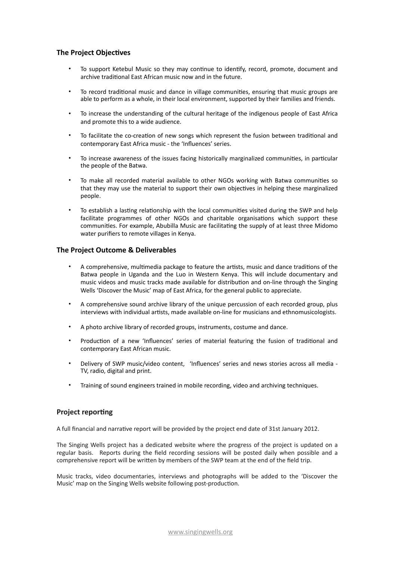## **The Project Objectives**

- To support Ketebul Music so they may continue to identify, record, promote, document and archive traditional East African music now and in the future.
- To record traditional music and dance in village communities, ensuring that music groups are able to perform as a whole, in their local environment, supported by their families and friends.
- To increase the understanding of the cultural heritage of the indigenous people of East Africa and promote this to a wide audience.
- To facilitate the co-creation of new songs which represent the fusion between traditional and contemporary East Africa music - the 'Influences' series.
- To increase awareness of the issues facing historically marginalized communities, in particular the people of the Batwa.
- To make all recorded material available to other NGOs working with Batwa communities so that they may use the material to support their own objectives in helping these marginalized people.
- To establish a lasting relationship with the local communities visited during the SWP and help facilitate programmes of other NGOs and charitable organisations which support these communities. For example, Abubilla Music are facilitating the supply of at least three Midomo water purifiers to remote villages in Kenya.

## **The Project Outcome & Deliverables**

- A comprehensive, multimedia package to feature the artists, music and dance traditions of the Batwa people in Uganda and the Luo in Western Kenya. This will include documentary and music videos and music tracks made available for distribution and on-line through the Singing Wells 'Discover the Music' map of East Africa, for the general public to appreciate.
- A comprehensive sound archive library of the unique percussion of each recorded group, plus interviews with individual artists, made available on-line for musicians and ethnomusicologists.
- A photo archive library of recorded groups, instruments, costume and dance.
- Production of a new 'Influences' series of material featuring the fusion of traditional and contemporary East African music.
- Delivery of SWP music/video content, 'Influences' series and news stories across all media -TV, radio, digital and print.
- Training of sound engineers trained in mobile recording, video and archiving techniques.

## **Project reporting**

A full financial and narrative report will be provided by the project end date of 31st January 2012.

The Singing Wells project has a dedicated website where the progress of the project is updated on a regular! basis.! ! Reports! during! the!field! recording! sessions! will! be! posted! daily!when! possible! and! a! comprehensive report will be written by members of the SWP team at the end of the field trip.

Music tracks, video documentaries, interviews and photographs will be added to the 'Discover the Music' map on the Singing Wells website following post-production.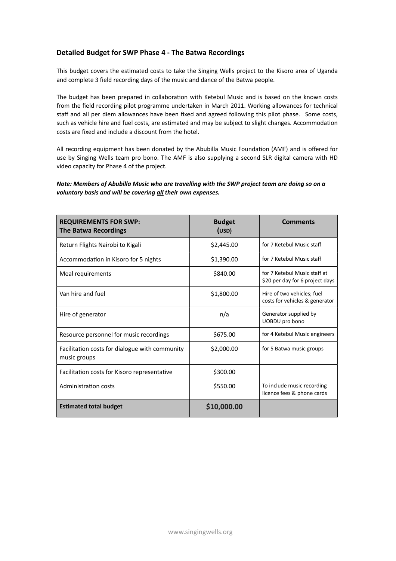## Detailed Budget for SWP Phase 4 - The Batwa Recordings

This budget covers the estimated costs to take the Singing Wells project to the Kisoro area of Uganda and complete 3 field recording days of the music and dance of the Batwa people.

The budget has been prepared in collaboration with Ketebul Music and is based on the known costs from the field recording pilot programme undertaken in March 2011. Working allowances for technical staff and all per diem allowances have been fixed and agreed following this pilot phase. Some costs, such as vehicle hire and fuel costs, are estimated and may be subject to slight changes. Accommodation costs are fixed and include a discount from the hotel.

All recording equipment has been donated by the Abubilla Music Foundation (AMF) and is offered for use by Singing Wells team pro bono. The AMF is also supplying a second SLR digital camera with HD video capacity for Phase 4 of the project.

#### *Note: Members of Abubilla Music who are travelling with the SWP project team are doing so on a* voluntary basis and will be covering **all** their own expenses.

| <b>REQUIREMENTS FOR SWP:</b><br><b>The Batwa Recordings</b>    | <b>Budget</b><br>(USD) | <b>Comments</b>                                                 |
|----------------------------------------------------------------|------------------------|-----------------------------------------------------------------|
| Return Flights Nairobi to Kigali                               | \$2,445.00             | for 7 Ketebul Music staff                                       |
| Accommodation in Kisoro for 5 nights                           | \$1,390.00             | for 7 Ketebul Music staff                                       |
| Meal requirements                                              | \$840.00               | for 7 Ketebul Music staff at<br>\$20 per day for 6 project days |
| Van hire and fuel                                              | \$1,800.00             | Hire of two vehicles; fuel<br>costs for vehicles & generator    |
| Hire of generator                                              | n/a                    | Generator supplied by<br>UOBDU pro bono                         |
| Resource personnel for music recordings                        | \$675.00               | for 4 Ketebul Music engineers                                   |
| Facilitation costs for dialogue with community<br>music groups | \$2,000.00             | for 5 Batwa music groups                                        |
| Facilitation costs for Kisoro representative                   | \$300.00               |                                                                 |
| Administration costs                                           | \$550.00               | To include music recording<br>licence fees & phone cards        |
| <b>Estimated total budget</b>                                  | \$10,000.00            |                                                                 |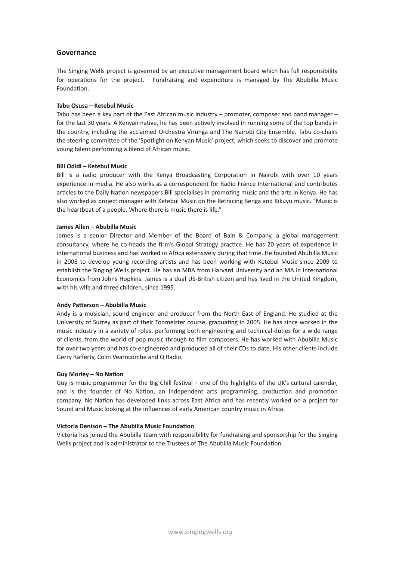## **Governance**

The Singing Wells project is governed by an executive management board which has full responsibility for operations for the project. Fundraising and expenditure is managed by The Abubilla Music Foundation.

#### Tabu Osusa - Ketebul Music

Tabu has been a key part of the East African music industry – promoter, composer and band manager – for the last 30 years. A Kenyan native, he has been actively involved in running some of the top bands in the country, including the acclaimed Orchestra Virunga and The Nairobi City Ensemble. Tabu co-chairs the steering committee of the 'Spotlight on Kenyan Music' project, which seeks to discover and promote young talent performing a blend of African music.

#### **Bill Odidi – Ketebul Music**

Bill is a radio producer with the Kenya Broadcasting Corporation in Nairobi with over 10 years experience in media. He also works as a correspondent for Radio France International and contributes articles to the Daily Nation newspapers Bill specialises in promoting music and the arts in Kenya. He has also worked as project manager with Ketebul Music on the Retracing Benga and Kikuyu music. "Music is the heartbeat of a people. Where there is music there is life."

#### **James Allen – Abubilla Music**

James is a senior Director and Member of the Board of Bain & Company, a global management consultancy, where he co-heads the firm's Global Strategy practice. He has 20 years of experience in international business and has worked in Africa extensively during that time. He founded Abubilla Music in 2008 to develop young recording artists and has been working with Ketebul Music since 2009 to establish the Singing Wells project. He has an MBA from Harvard University and an MA in International Economics from Johns Hopkins. James is a dual US-British citizen and has lived in the United Kingdom, with his wife and three children, since 1995.

#### Andy Patterson - Abubilla Music

Andy is a musician, sound engineer and producer from the North East of England. He studied at the University of Surrey as part of their Tonmeister course, graduating in 2005. He has since worked in the music industry in a variety of roles, performing both engineering and technical duties for a wide range of clients, from the world of pop music through to film composers. He has worked with Abubilla Music for over two years and has co-engineered and produced all of their CDs to date. His other clients include Gerry Rafferty, Colin Vearncombe and Q Radio.

#### Guy Morley - No Nation

Guy is music programmer for the Big Chill festival – one of the highlights of the UK's cultural calendar, and is the founder of No Nation, an independent arts programming, production and promotion company. No Nation has developed links across East Africa and has recently worked on a project for Sound and Music looking at the influences of early American country music in Africa.

#### Victoria Denison - The Abubilla Music Foundation

Victoria has joined the Abubilla team with responsibility for fundraising and sponsorship for the Singing Wells project and is administrator to the Trustees of The Abubilla Music Foundation.